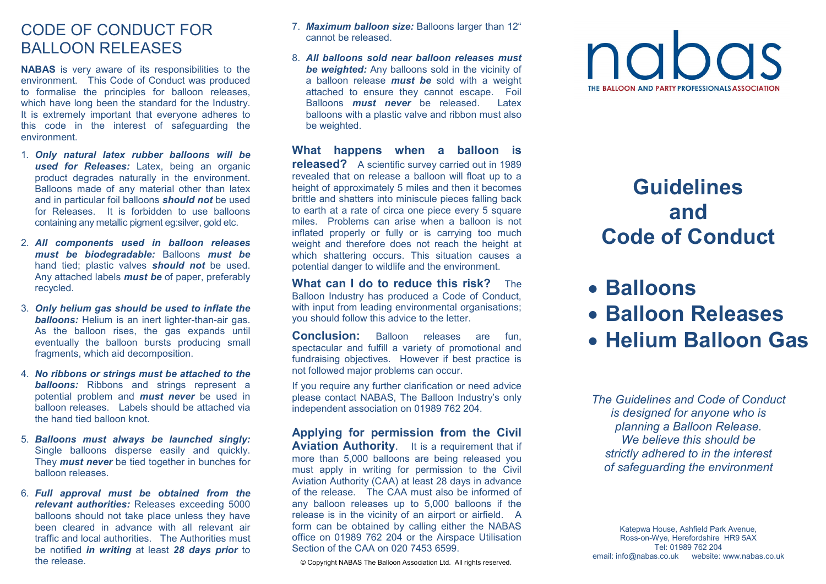### CODE OF CONDUCT FOR BALLOON RELEASES

**NABAS** is very aware of its responsibilities to the environment. This Code of Conduct was produced to formalise the principles for balloon releases, which have long been the standard for the Industry. It is extremely important that everyone adheres to this code in the interest of safeguarding the environment.

- 1. *Only natural latex rubber balloons will be used for Releases:* Latex, being an organic product degrades naturally in the environment. Balloons made of any material other than latex and in particular foil balloons *should not* be used for Releases. It is forbidden to use balloons containing any metallic pigment eg:silver, gold etc.
- 2. *All components used in balloon releases must be biodegradable:* Balloons *must be*  hand tied; plastic valves *should not* be used. Any attached labels *must be* of paper, preferably recycled.
- 3. *Only helium gas should be used to inflate the balloons:* Helium is an inert lighter-than-air gas. As the balloon rises, the gas expands until eventually the balloon bursts producing small fragments, which aid decomposition.
- 4. *No ribbons or strings must be attached to the balloons:* Ribbons and strings represent a potential problem and *must never* be used in balloon releases. Labels should be attached via the hand tied balloon knot.
- 5. *Balloons must always be launched singly:*  Single balloons disperse easily and quickly. They *must never* be tied together in bunches for balloon releases.
- 6. *Full approval must be obtained from the relevant authorities:* Releases exceeding 5000 balloons should not take place unless they have been cleared in advance with all relevant air traffic and local authorities. The Authorities must be notified *in writing* at least *28 days prior* to the release.
- 7. *Maximum balloon size:* Balloons larger than 12" cannot be released.
- 8. *All balloons sold near balloon releases must be weighted:* Any balloons sold in the vicinity of a balloon release *must be* sold with a weight attached to ensure they cannot escape. Foil **Latex** Balloons *must never* be released. balloons with a plastic valve and ribbon must also be weighted.

**What happens when a balloon is released?** A scientific survey carried out in 1989 revealed that on release a balloon will float up to a height of approximately 5 miles and then it becomes brittle and shatters into miniscule pieces falling back to earth at a rate of circa one piece every 5 square miles. Problems can arise when a balloon is not inflated properly or fully or is carrying too much weight and therefore does not reach the height at which shattering occurs. This situation causes a potential danger to wildlife and the environment.

**What can I do to reduce this risk?** The Balloon Industry has produced a Code of Conduct, with input from leading environmental organisations; you should follow this advice to the letter.

**Conclusion:** Balloon releases are fun, spectacular and fulfill a variety of promotional and fundraising objectives. However if best practice is not followed major problems can occur.

If you require any further clarification or need advice please contact NABAS, The Balloon Industry's only independent association on 01989 762 204.

**Applying for permission from the Civil Aviation Authority.** It is a requirement that if more than 5,000 balloons are being released you must apply in writing for permission to the Civil Aviation Authority (CAA) at least 28 days in advance of the release. The CAA must also be informed of any balloon releases up to 5,000 balloons if the release is in the vicinity of an airport or airfield. A form can be obtained by calling either the NABAS office on 01989 762 204 or the Airspace UtilisationSection of the CAA on 020 7453 6599.

© Copyright NABAS. The Balloon Association Ltd. All rights reserved.



# **Guidelines and Code of Conduct**

- **Balloons**
- **Balloon Releases**
- **Helium Balloon Gas**

*The Guidelines and Code of Conduct is designed for anyone who is planning a Balloon Release. We believe this should be strictly adhered to in the interest of safeguarding the environment* 

Katepwa House, Ashfield Park Avenue, Ross-on-Wye, Herefordshire HR9 5AX Tel: 01989 762 204 email: info@nabas.co.uk website: www.nabas.co.uk